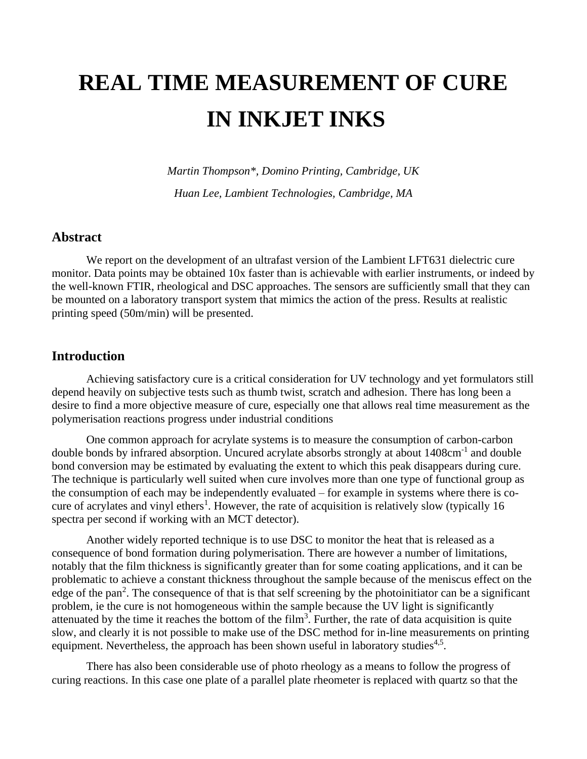# **REAL TIME MEASUREMENT OF CURE IN INKJET INKS**

*Martin Thompson\*, Domino Printing, Cambridge, UK*

*Huan Lee, Lambient Technologies, Cambridge, MA*

### **Abstract**

We report on the development of an ultrafast version of the Lambient LFT631 dielectric cure monitor. Data points may be obtained 10x faster than is achievable with earlier instruments, or indeed by the well-known FTIR, rheological and DSC approaches. The sensors are sufficiently small that they can be mounted on a laboratory transport system that mimics the action of the press. Results at realistic printing speed (50m/min) will be presented.

#### **Introduction**

Achieving satisfactory cure is a critical consideration for UV technology and yet formulators still depend heavily on subjective tests such as thumb twist, scratch and adhesion. There has long been a desire to find a more objective measure of cure, especially one that allows real time measurement as the polymerisation reactions progress under industrial conditions

One common approach for acrylate systems is to measure the consumption of carbon-carbon double bonds by infrared absorption. Uncured acrylate absorbs strongly at about 1408cm<sup>-1</sup> and double bond conversion may be estimated by evaluating the extent to which this peak disappears during cure. The technique is particularly well suited when cure involves more than one type of functional group as the consumption of each may be independently evaluated – for example in systems where there is cocure of acrylates and vinyl ethers<sup>1</sup>. However, the rate of acquisition is relatively slow (typically 16 spectra per second if working with an MCT detector).

Another widely reported technique is to use DSC to monitor the heat that is released as a consequence of bond formation during polymerisation. There are however a number of limitations, notably that the film thickness is significantly greater than for some coating applications, and it can be problematic to achieve a constant thickness throughout the sample because of the meniscus effect on the edge of the pan<sup>2</sup>. The consequence of that is that self screening by the photoinitiator can be a significant problem, ie the cure is not homogeneous within the sample because the UV light is significantly attenuated by the time it reaches the bottom of the film<sup>3</sup>. Further, the rate of data acquisition is quite slow, and clearly it is not possible to make use of the DSC method for in-line measurements on printing equipment. Nevertheless, the approach has been shown useful in laboratory studies $4.5$ .

There has also been considerable use of photo rheology as a means to follow the progress of curing reactions. In this case one plate of a parallel plate rheometer is replaced with quartz so that the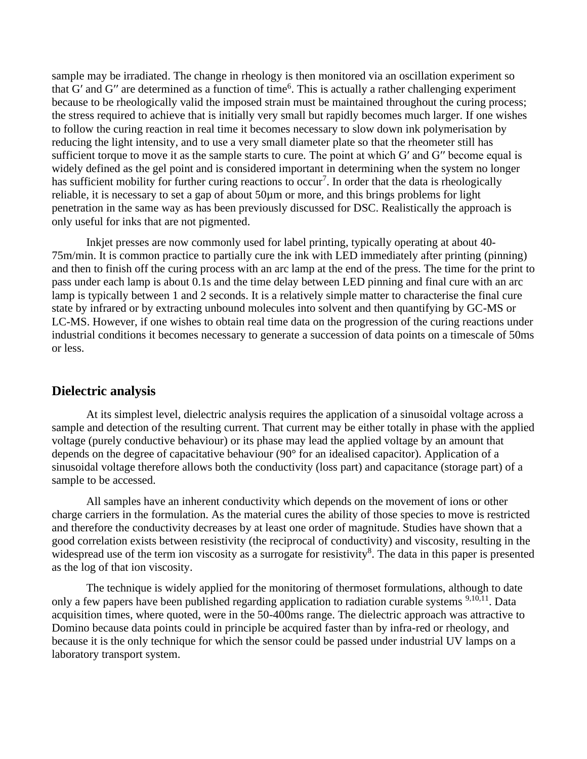sample may be irradiated. The change in rheology is then monitored via an oscillation experiment so that G' and G'' are determined as a function of time<sup>6</sup>. This is actually a rather challenging experiment because to be rheologically valid the imposed strain must be maintained throughout the curing process; the stress required to achieve that is initially very small but rapidly becomes much larger. If one wishes to follow the curing reaction in real time it becomes necessary to slow down ink polymerisation by reducing the light intensity, and to use a very small diameter plate so that the rheometer still has sufficient torque to move it as the sample starts to cure. The point at which Gʹ and Gʹʹ become equal is widely defined as the gel point and is considered important in determining when the system no longer has sufficient mobility for further curing reactions to occur<sup>7</sup>. In order that the data is rheologically reliable, it is necessary to set a gap of about 50µm or more, and this brings problems for light penetration in the same way as has been previously discussed for DSC. Realistically the approach is only useful for inks that are not pigmented.

Inkjet presses are now commonly used for label printing, typically operating at about 40- 75m/min. It is common practice to partially cure the ink with LED immediately after printing (pinning) and then to finish off the curing process with an arc lamp at the end of the press. The time for the print to pass under each lamp is about 0.1s and the time delay between LED pinning and final cure with an arc lamp is typically between 1 and 2 seconds. It is a relatively simple matter to characterise the final cure state by infrared or by extracting unbound molecules into solvent and then quantifying by GC-MS or LC-MS. However, if one wishes to obtain real time data on the progression of the curing reactions under industrial conditions it becomes necessary to generate a succession of data points on a timescale of 50ms or less.

#### **Dielectric analysis**

At its simplest level, dielectric analysis requires the application of a sinusoidal voltage across a sample and detection of the resulting current. That current may be either totally in phase with the applied voltage (purely conductive behaviour) or its phase may lead the applied voltage by an amount that depends on the degree of capacitative behaviour (90° for an idealised capacitor). Application of a sinusoidal voltage therefore allows both the conductivity (loss part) and capacitance (storage part) of a sample to be accessed.

All samples have an inherent conductivity which depends on the movement of ions or other charge carriers in the formulation. As the material cures the ability of those species to move is restricted and therefore the conductivity decreases by at least one order of magnitude. Studies have shown that a good correlation exists between resistivity (the reciprocal of conductivity) and viscosity, resulting in the widespread use of the term ion viscosity as a surrogate for resistivity<sup>8</sup>. The data in this paper is presented as the log of that ion viscosity.

The technique is widely applied for the monitoring of thermoset formulations, although to date only a few papers have been published regarding application to radiation curable systems <sup>9,10,11</sup>. Data acquisition times, where quoted, were in the 50-400ms range. The dielectric approach was attractive to Domino because data points could in principle be acquired faster than by infra-red or rheology, and because it is the only technique for which the sensor could be passed under industrial UV lamps on a laboratory transport system.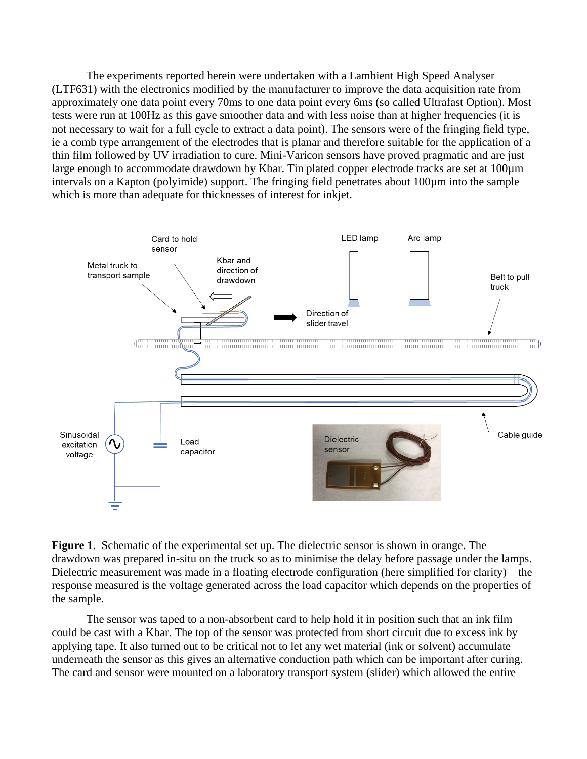The experiments reported herein were undertaken with a Lambient High Speed Analyser (LTF631) with the electronics modified by the manufacturer to improve the data acquisition rate from approximately one data point every 70ms to one data point every 6ms (so called Ultrafast Option). Most tests were run at 100Hz as this gave smoother data and with less noise than at higher frequencies (it is not necessary to wait for a full cycle to extract a data point). The sensors were of the fringing field type, ie a comb type arrangement of the electrodes that is planar and therefore suitable for the application of a thin film followed by UV irradiation to cure. Mini-Varicon sensors have proved pragmatic and are just large enough to accommodate drawdown by Kbar. Tin plated copper electrode tracks are set at 100µm intervals on a Kapton (polyimide) support. The fringing field penetrates about 100µm into the sample which is more than adequate for thicknesses of interest for inkjet.



**Figure 1**. Schematic of the experimental set up. The dielectric sensor is shown in orange. The drawdown was prepared in-situ on the truck so as to minimise the delay before passage under the lamps. Dielectric measurement was made in a floating electrode configuration (here simplified for clarity) – the response measured is the voltage generated across the load capacitor which depends on the properties of the sample.

The sensor was taped to a non-absorbent card to help hold it in position such that an ink film could be cast with a Kbar. The top of the sensor was protected from short circuit due to excess ink by applying tape. It also turned out to be critical not to let any wet material (ink or solvent) accumulate underneath the sensor as this gives an alternative conduction path which can be important after curing. The card and sensor were mounted on a laboratory transport system (slider) which allowed the entire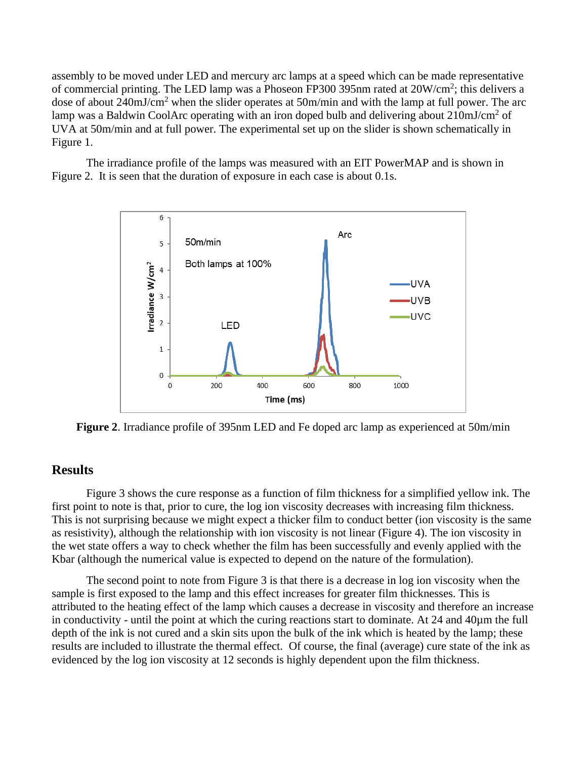assembly to be moved under LED and mercury arc lamps at a speed which can be made representative of commercial printing. The LED lamp was a Phoseon FP300 395nm rated at  $20W/cm^2$ ; this delivers a dose of about 240mJ/cm<sup>2</sup> when the slider operates at 50m/min and with the lamp at full power. The arc lamp was a Baldwin CoolArc operating with an iron doped bulb and delivering about 210mJ/cm<sup>2</sup> of UVA at 50m/min and at full power. The experimental set up on the slider is shown schematically in Figure 1.

The irradiance profile of the lamps was measured with an EIT PowerMAP and is shown in Figure 2. It is seen that the duration of exposure in each case is about 0.1s.



**Figure 2**. Irradiance profile of 395nm LED and Fe doped arc lamp as experienced at 50m/min

# **Results**

Figure 3 shows the cure response as a function of film thickness for a simplified yellow ink. The first point to note is that, prior to cure, the log ion viscosity decreases with increasing film thickness. This is not surprising because we might expect a thicker film to conduct better (ion viscosity is the same as resistivity), although the relationship with ion viscosity is not linear (Figure 4). The ion viscosity in the wet state offers a way to check whether the film has been successfully and evenly applied with the Kbar (although the numerical value is expected to depend on the nature of the formulation).

The second point to note from Figure 3 is that there is a decrease in log ion viscosity when the sample is first exposed to the lamp and this effect increases for greater film thicknesses. This is attributed to the heating effect of the lamp which causes a decrease in viscosity and therefore an increase in conductivity - until the point at which the curing reactions start to dominate. At 24 and 40µm the full depth of the ink is not cured and a skin sits upon the bulk of the ink which is heated by the lamp; these results are included to illustrate the thermal effect. Of course, the final (average) cure state of the ink as evidenced by the log ion viscosity at 12 seconds is highly dependent upon the film thickness.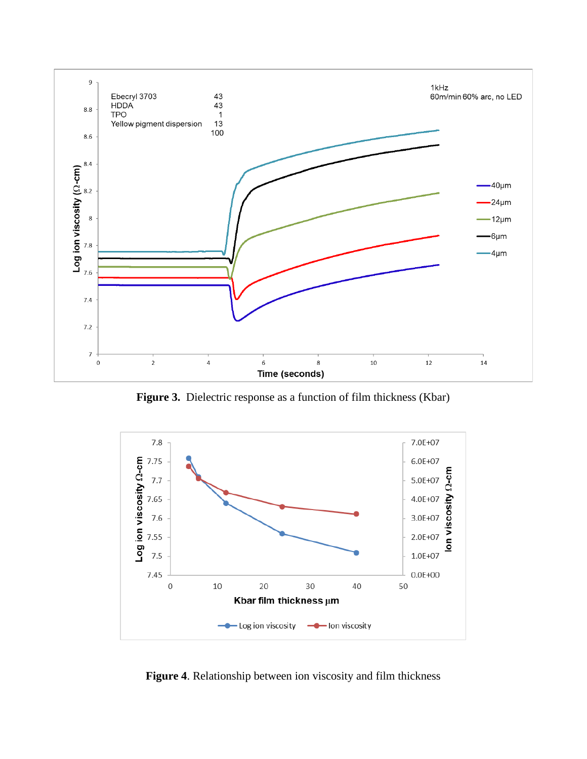

**Figure 3.** Dielectric response as a function of film thickness (Kbar)



**Figure 4**. Relationship between ion viscosity and film thickness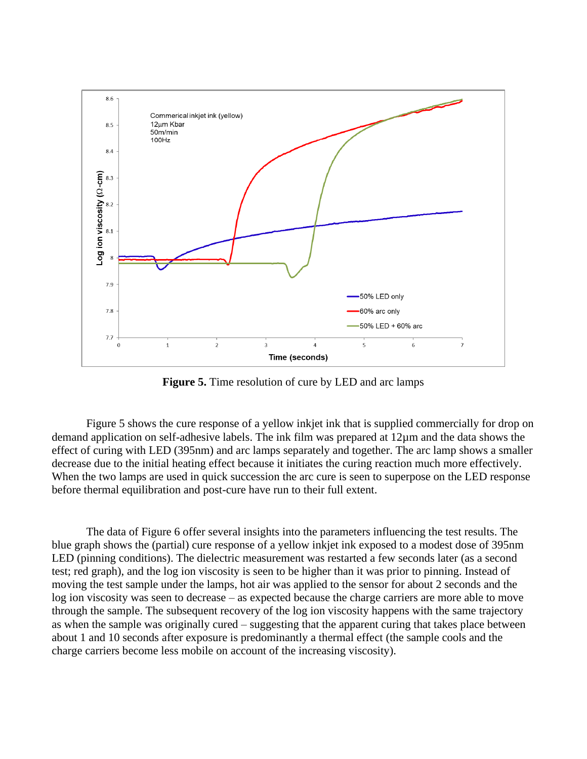

**Figure 5.** Time resolution of cure by LED and arc lamps

Figure 5 shows the cure response of a yellow inkjet ink that is supplied commercially for drop on demand application on self-adhesive labels. The ink film was prepared at 12µm and the data shows the effect of curing with LED (395nm) and arc lamps separately and together. The arc lamp shows a smaller decrease due to the initial heating effect because it initiates the curing reaction much more effectively. When the two lamps are used in quick succession the arc cure is seen to superpose on the LED response before thermal equilibration and post-cure have run to their full extent.

The data of Figure 6 offer several insights into the parameters influencing the test results. The blue graph shows the (partial) cure response of a yellow inkjet ink exposed to a modest dose of 395nm LED (pinning conditions). The dielectric measurement was restarted a few seconds later (as a second test; red graph), and the log ion viscosity is seen to be higher than it was prior to pinning. Instead of moving the test sample under the lamps, hot air was applied to the sensor for about 2 seconds and the log ion viscosity was seen to decrease – as expected because the charge carriers are more able to move through the sample. The subsequent recovery of the log ion viscosity happens with the same trajectory as when the sample was originally cured – suggesting that the apparent curing that takes place between about 1 and 10 seconds after exposure is predominantly a thermal effect (the sample cools and the charge carriers become less mobile on account of the increasing viscosity).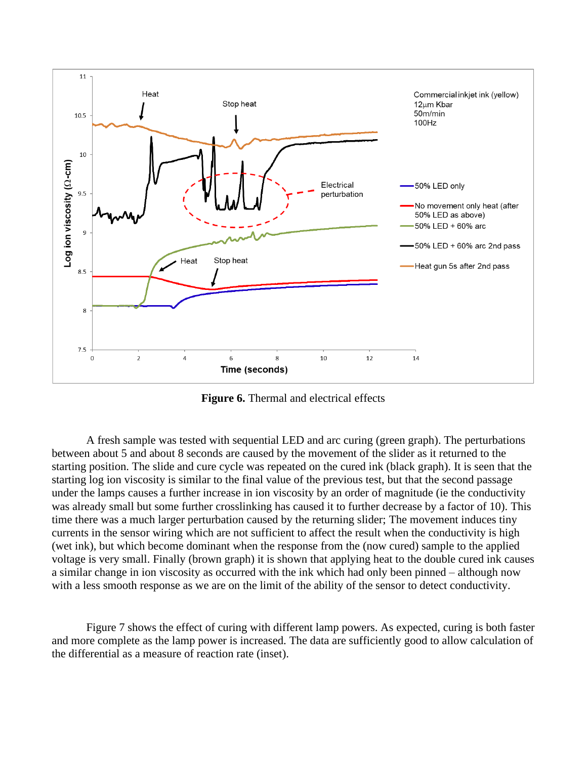

**Figure 6.** Thermal and electrical effects

A fresh sample was tested with sequential LED and arc curing (green graph). The perturbations between about 5 and about 8 seconds are caused by the movement of the slider as it returned to the starting position. The slide and cure cycle was repeated on the cured ink (black graph). It is seen that the starting log ion viscosity is similar to the final value of the previous test, but that the second passage under the lamps causes a further increase in ion viscosity by an order of magnitude (ie the conductivity was already small but some further crosslinking has caused it to further decrease by a factor of 10). This time there was a much larger perturbation caused by the returning slider; The movement induces tiny currents in the sensor wiring which are not sufficient to affect the result when the conductivity is high (wet ink), but which become dominant when the response from the (now cured) sample to the applied voltage is very small. Finally (brown graph) it is shown that applying heat to the double cured ink causes a similar change in ion viscosity as occurred with the ink which had only been pinned – although now with a less smooth response as we are on the limit of the ability of the sensor to detect conductivity.

Figure 7 shows the effect of curing with different lamp powers. As expected, curing is both faster and more complete as the lamp power is increased. The data are sufficiently good to allow calculation of the differential as a measure of reaction rate (inset).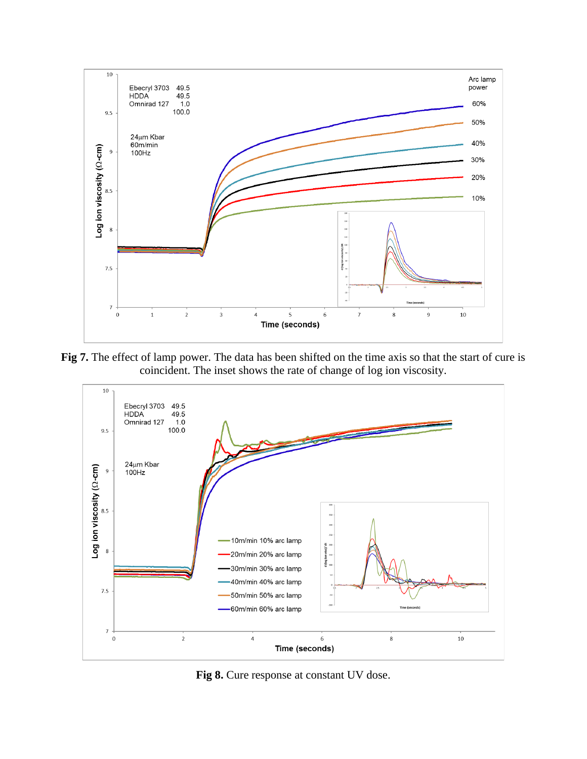

**Fig 7.** The effect of lamp power. The data has been shifted on the time axis so that the start of cure is coincident. The inset shows the rate of change of log ion viscosity.



**Fig 8.** Cure response at constant UV dose.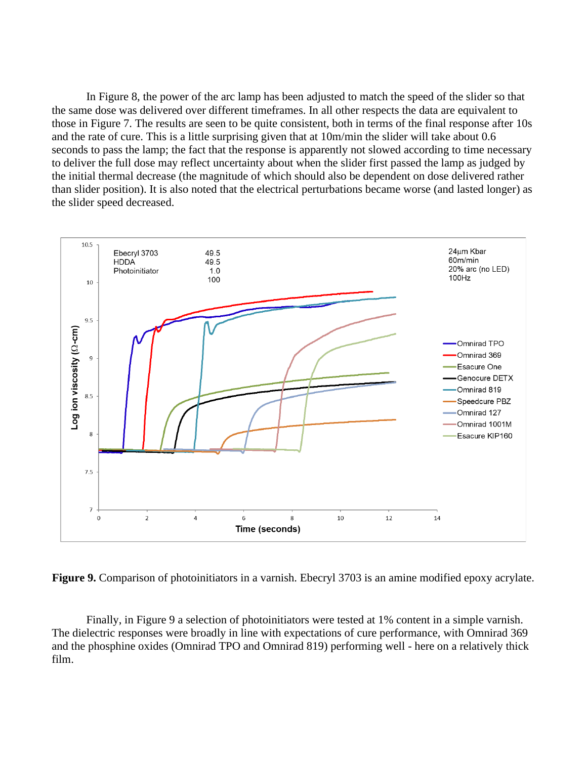In Figure 8, the power of the arc lamp has been adjusted to match the speed of the slider so that the same dose was delivered over different timeframes. In all other respects the data are equivalent to those in Figure 7. The results are seen to be quite consistent, both in terms of the final response after 10s and the rate of cure. This is a little surprising given that at 10m/min the slider will take about 0.6 seconds to pass the lamp; the fact that the response is apparently not slowed according to time necessary to deliver the full dose may reflect uncertainty about when the slider first passed the lamp as judged by the initial thermal decrease (the magnitude of which should also be dependent on dose delivered rather than slider position). It is also noted that the electrical perturbations became worse (and lasted longer) as the slider speed decreased.



**Figure 9.** Comparison of photoinitiators in a varnish. Ebecryl 3703 is an amine modified epoxy acrylate.

Finally, in Figure 9 a selection of photoinitiators were tested at 1% content in a simple varnish. The dielectric responses were broadly in line with expectations of cure performance, with Omnirad 369 and the phosphine oxides (Omnirad TPO and Omnirad 819) performing well - here on a relatively thick film.